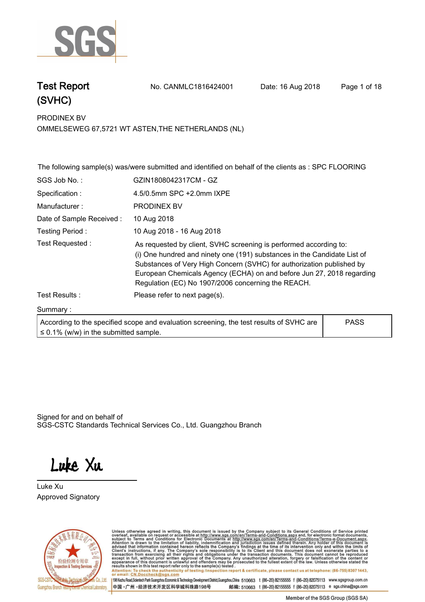

**Test Report. No. CANMLC1816424001 Date: 16 Aug 2018. Page 1 of 18.**

**PRODINEX BV. OMMELSEWEG 67,5721 WT ASTEN,THE NETHERLANDS (NL)**

|                                            | The following sample(s) was/were submitted and identified on behalf of the clients as : SPC FLOORING                                                                                                                                                                                                                                                  |             |  |
|--------------------------------------------|-------------------------------------------------------------------------------------------------------------------------------------------------------------------------------------------------------------------------------------------------------------------------------------------------------------------------------------------------------|-------------|--|
| SGS Job No.:                               | GZIN1808042317CM - GZ                                                                                                                                                                                                                                                                                                                                 |             |  |
| Specification :                            | 4.5/0.5mm SPC +2.0mm IXPE                                                                                                                                                                                                                                                                                                                             |             |  |
| Manufacturer:                              | <b>PRODINEX BV</b>                                                                                                                                                                                                                                                                                                                                    |             |  |
| Date of Sample Received:                   | 10 Aug 2018                                                                                                                                                                                                                                                                                                                                           |             |  |
| Testing Period:                            | 10 Aug 2018 - 16 Aug 2018                                                                                                                                                                                                                                                                                                                             |             |  |
| Test Requested:                            | As requested by client, SVHC screening is performed according to:<br>(i) One hundred and ninety one (191) substances in the Candidate List of<br>Substances of Very High Concern (SVHC) for authorization published by<br>European Chemicals Agency (ECHA) on and before Jun 27, 2018 regarding<br>Regulation (EC) No 1907/2006 concerning the REACH. |             |  |
| Test Results:                              | Please refer to next page(s).                                                                                                                                                                                                                                                                                                                         |             |  |
| Summary:                                   |                                                                                                                                                                                                                                                                                                                                                       |             |  |
| $\leq$ 0.1% (w/w) in the submitted sample. | According to the specified scope and evaluation screening, the test results of SVHC are                                                                                                                                                                                                                                                               | <b>PASS</b> |  |

Signed for and on behalf of SGS-CSTC Standards Technical Services Co., Ltd. Guangzhou Branch.

Luke Xu

**Luke Xu . Approved Signatory. . .**



Unless otherwise agreed in writing, this document is issued by the Company subject to its General Conditions of Service printed<br>overleaf, available on request or accessible at http://www.sgs.com/en/Terms-and-Conditions.asp Attention: To check the authenticity of testing /inspection report & certificate, please contact us at telephone: (86-755) 8307 1443,<br>Attention: To check the authenticity of testing /inspection report & certificate, please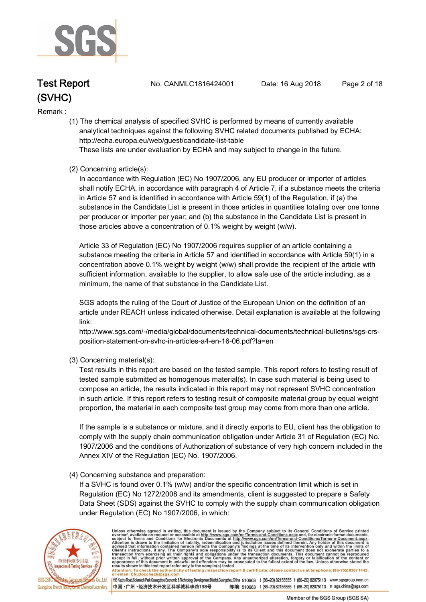

**Test Report. No. CANMLC1816424001 Date: 16 Aug 2018. Page 2 of 18.**

**Remark :.**

 **(1) The chemical analysis of specified SVHC is performed by means of currently available analytical techniques against the following SVHC related documents published by ECHA: http://echa.europa.eu/web/guest/candidate-list-table** 

 **These lists are under evaluation by ECHA and may subject to change in the future.** 

 **(2) Concerning article(s):** 

 **In accordance with Regulation (EC) No 1907/2006, any EU producer or importer of articles shall notify ECHA, in accordance with paragraph 4 of Article 7, if a substance meets the criteria in Article 57 and is identified in accordance with Article 59(1) of the Regulation, if (a) the substance in the Candidate List is present in those articles in quantities totaling over one tonne per producer or importer per year; and (b) the substance in the Candidate List is present in those articles above a concentration of 0.1% weight by weight (w/w).** 

 **Article 33 of Regulation (EC) No 1907/2006 requires supplier of an article containing a substance meeting the criteria in Article 57 and identified in accordance with Article 59(1) in a concentration above 0.1% weight by weight (w/w) shall provide the recipient of the article with sufficient information, available to the supplier, to allow safe use of the article including, as a minimum, the name of that substance in the Candidate List.** 

 **SGS adopts the ruling of the Court of Justice of the European Union on the definition of an article under REACH unless indicated otherwise. Detail explanation is available at the following link:** 

 **http://www.sgs.com/-/media/global/documents/technical-documents/technical-bulletins/sgs-crs position-statement-on-svhc-in-articles-a4-en-16-06.pdf?la=en** 

 **(3) Concerning material(s):** 

 **Test results in this report are based on the tested sample. This report refers to testing result of tested sample submitted as homogenous material(s). In case such material is being used to compose an article, the results indicated in this report may not represent SVHC concentration in such article. If this report refers to testing result of composite material group by equal weight proportion, the material in each composite test group may come from more than one article.** 

 **If the sample is a substance or mixture, and it directly exports to EU, client has the obligation to comply with the supply chain communication obligation under Article 31 of Regulation (EC) No. 1907/2006 and the conditions of Authorization of substance of very high concern included in the Annex XIV of the Regulation (EC) No. 1907/2006.** 

#### **(4) Concerning substance and preparation:**

 **If a SVHC is found over 0.1% (w/w) and/or the specific concentration limit which is set in Regulation (EC) No 1272/2008 and its amendments, client is suggested to prepare a Safety Data Sheet (SDS) against the SVHC to comply with the supply chain communication obligation under Regulation (EC) No 1907/2006, in which:** 



Unless otherwise agreed in writing, this document is issued by the Company subject to its General Conditions of Service printed overleaf, available on request or accessible at http://www.sgs.com/en/Terms-and-Conditions.asp Attention: To check the authenticity of testing /inspection report & certificate, please contact us at telephone: (86-755) 8307 1443,<br>or email: CN.Doccheck@sgs.com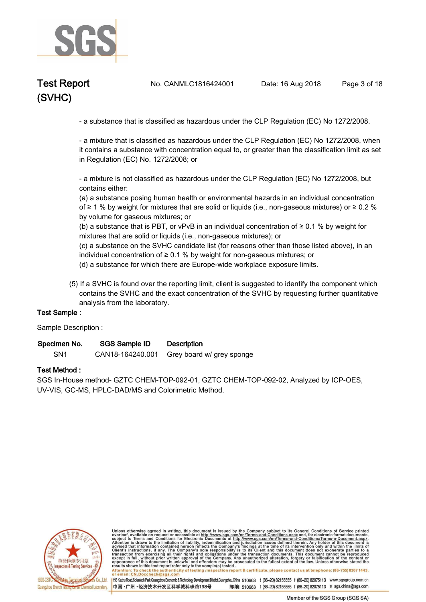

**Test Report. No. CANMLC1816424001 Date: 16 Aug 2018. Page 3 of 18.**

 **- a substance that is classified as hazardous under the CLP Regulation (EC) No 1272/2008.** 

 **- a mixture that is classified as hazardous under the CLP Regulation (EC) No 1272/2008, when it contains a substance with concentration equal to, or greater than the classification limit as set in Regulation (EC) No. 1272/2008; or** 

 **- a mixture is not classified as hazardous under the CLP Regulation (EC) No 1272/2008, but contains either:** 

 **(a) a substance posing human health or environmental hazards in an individual concentration of ≥ 1 % by weight for mixtures that are solid or liquids (i.e., non-gaseous mixtures) or ≥ 0.2 % by volume for gaseous mixtures; or** 

 **(b) a substance that is PBT, or vPvB in an individual concentration of ≥ 0.1 % by weight for mixtures that are solid or liquids (i.e., non-gaseous mixtures); or** 

 **(c) a substance on the SVHC candidate list (for reasons other than those listed above), in an individual concentration of ≥ 0.1 % by weight for non-gaseous mixtures; or** 

 **(d) a substance for which there are Europe-wide workplace exposure limits.**

 **(5) If a SVHC is found over the reporting limit, client is suggested to identify the component which contains the SVHC and the exact concentration of the SVHC by requesting further quantitative analysis from the laboratory.** 

#### **Test Sample :.**

**Sample Description :.**

| Specimen No. | <b>SGS Sample ID</b> | <b>Description</b> |  |
|--------------|----------------------|--------------------|--|
|--------------|----------------------|--------------------|--|

**SN1. CAN18-164240.001 Grey board w/ grey sponge.**

#### **Test Method :.**

**SGS In-House method- GZTC CHEM-TOP-092-01, GZTC CHEM-TOP-092-02, Analyzed by ICP-OES, UV-VIS, GC-MS, HPLC-DAD/MS and Colorimetric Method..**



Unless otherwise agreed in writing, this document is issued by the Company subject to its General Conditions of Service printed overleaf, available on request or accessible at http://www.sgs.com/en/Terms-and-Conditions.asp Attention: To check the authenticity of testing /inspection report & certificate, please contact us at telephone: (86-755) 8307 1443,<br>or email: CN.Doccheck@sgs.com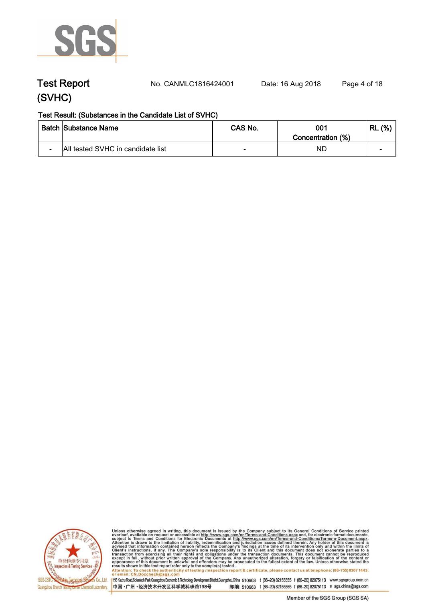

**Test Report. No. CANMLC1816424001 Date: 16 Aug 2018. Page 4 of 18.**

#### **Test Result: (Substances in the Candidate List of SVHC)**

|                          | <b>Batch Substance Name</b>       | CAS No.                  | 001<br>Concentration (%) | (% )<br>∵ RL |
|--------------------------|-----------------------------------|--------------------------|--------------------------|--------------|
| $\overline{\phantom{0}}$ | All tested SVHC in candidate list | $\overline{\phantom{0}}$ | ΝD                       | -            |



Unless otherwise agreed in writing, this document is issued by the Company subject to its General Conditions of Service printed<br>overleaf, available on request or accessible at http://www.sgs.com/en/Terms-and-Conditions.asp results shown in this test report refer only to the sample(s) tested .<br>Attention: To check the authenticity of testing /inspection report & certificate, please contact us at telephone: (86-755) 8307 1443,<br>or email: <u>CN.Doc</u>

198 Kezhu Road,Scientech Park Guangzhou Economic & Technology Development District,Guangzhou,China 510663 t (86-20) 82155555 f (86-20) 82075113 www.sgsgroup.com.cn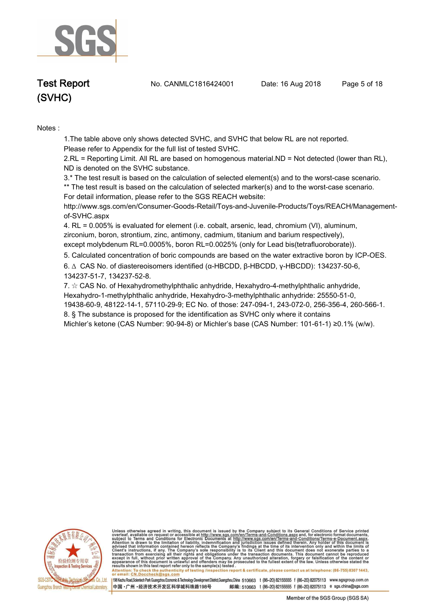

**Test Report. No. CANMLC1816424001 Date: 16 Aug 2018. Page 5 of 18.**

# **(SVHC)**

**Notes :.**

**1.The table above only shows detected SVHC, and SVHC that below RL are not reported.** 

**Please refer to Appendix for the full list of tested SVHC.**

**2.RL = Reporting Limit. All RL are based on homogenous material.ND = Not detected (lower than RL), ND is denoted on the SVHC substance.**

**3.\* The test result is based on the calculation of selected element(s) and to the worst-case scenario.** 

**\*\* The test result is based on the calculation of selected marker(s) and to the worst-case scenario.** 

**For detail information, please refer to the SGS REACH website:** 

**http://www.sgs.com/en/Consumer-Goods-Retail/Toys-and-Juvenile-Products/Toys/REACH/Managementof-SVHC.aspx**

**4. RL = 0.005% is evaluated for element (i.e. cobalt, arsenic, lead, chromium (VI), aluminum, zirconium, boron, strontium, zinc, antimony, cadmium, titanium and barium respectively), except molybdenum RL=0.0005%, boron RL=0.0025% (only for Lead bis(tetrafluoroborate))..**

**5. Calculated concentration of boric compounds are based on the water extractive boron by ICP-OES..**

**6. ∆ CAS No. of diastereoisomers identified (α-HBCDD, β-HBCDD, γ-HBCDD): 134237-50-6, 134237-51-7, 134237-52-8.** 

**7. ☆ CAS No. of Hexahydromethylphthalic anhydride, Hexahydro-4-methylphthalic anhydride, Hexahydro-1-methylphthalic anhydride, Hexahydro-3-methylphthalic anhydride: 25550-51-0, 19438-60-9, 48122-14-1, 57110-29-9; EC No. of those: 247-094-1, 243-072-0, 256-356-4, 260-566-1. 8. § The substance is proposed for the identification as SVHC only where it contains Michler's ketone (CAS Number: 90-94-8) or Michler's base (CAS Number: 101-61-1) ≥0.1% (w/w)..**



Unless otherwise agreed in writing, this document is issued by the Company subject to its General Conditions of Service printed overleaf, available on request or accessible at http://www.sgs.com/en/Terms-and-Conditions.asp resums shown in mas lost report tells with one sample(s) lesied .<br>Attention: To check the authenticity of testing /inspection report & certificate, please contact us at telephone: (86-755) 8307 1443,<br>or email: <u>CN.Doccheck</u>

198 Kezhu Road,Scientech Park Guangzhou Economic & Technology Development District,Guangzhou,China 510663 t (86-20) 82155555 f (86-20) 82075113 www.sgsgroup.com.cn

邮编: 510663 t (86-20) 82155555 f (86-20) 82075113 e sgs.china@sgs.com 中国·广州·经济技术开发区科学城科珠路198号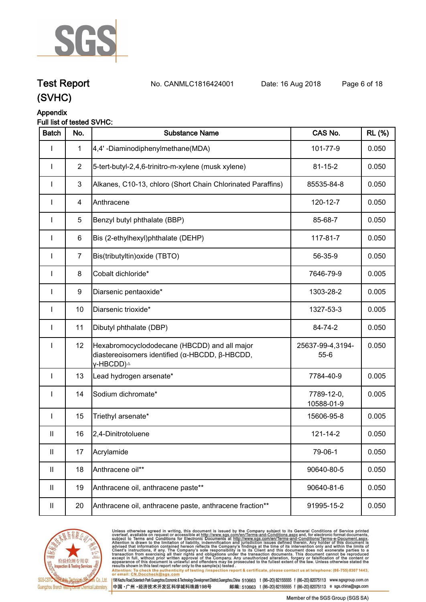

**Test Report. No. CANMLC1816424001 Date: 16 Aug 2018. Page 6 of 18.**

# **(SVHC)**

### **Appendix**

#### **Full list of tested SVHC:**

| <b>Batch</b> | No.            | <b>Substance Name</b>                                                                                                   | CAS No.                      | <b>RL</b> (%) |
|--------------|----------------|-------------------------------------------------------------------------------------------------------------------------|------------------------------|---------------|
| I            | $\mathbf{1}$   | 4,4'-Diaminodiphenylmethane(MDA)                                                                                        | 101-77-9                     | 0.050         |
|              | $\overline{2}$ | 5-tert-butyl-2,4,6-trinitro-m-xylene (musk xylene)                                                                      | $81 - 15 - 2$                | 0.050         |
| $\mathbf{I}$ | 3              | Alkanes, C10-13, chloro (Short Chain Chlorinated Paraffins)                                                             | 85535-84-8                   | 0.050         |
|              | 4              | Anthracene                                                                                                              | 120-12-7                     | 0.050         |
|              | 5              | Benzyl butyl phthalate (BBP)                                                                                            | 85-68-7                      | 0.050         |
| $\mathbf{I}$ | 6              | Bis (2-ethylhexyl)phthalate (DEHP)                                                                                      | 117-81-7                     | 0.050         |
| $\mathbf{I}$ | $\overline{7}$ | Bis(tributyltin) oxide (TBTO)                                                                                           | 56-35-9                      | 0.050         |
| $\mathbf{I}$ | 8              | Cobalt dichloride*                                                                                                      | 7646-79-9                    | 0.005         |
| $\mathbf{I}$ | 9              | Diarsenic pentaoxide*                                                                                                   | 1303-28-2                    | 0.005         |
| $\mathbf{I}$ | 10             | Diarsenic trioxide*                                                                                                     | 1327-53-3                    | 0.005         |
| $\mathbf{I}$ | 11             | Dibutyl phthalate (DBP)                                                                                                 | 84-74-2                      | 0.050         |
| $\mathbf{I}$ | 12             | Hexabromocyclododecane (HBCDD) and all major<br>diastereoisomers identified (α-HBCDD, β-HBCDD,<br>γ-HBCDD) <sup>∆</sup> | 25637-99-4,3194-<br>$55 - 6$ | 0.050         |
| $\mathbf{I}$ | 13             | Lead hydrogen arsenate*                                                                                                 | 7784-40-9                    | 0.005         |
| $\mathbf{I}$ | 14             | Sodium dichromate*                                                                                                      | 7789-12-0,<br>10588-01-9     | 0.005         |
| $\mathbf{I}$ | 15             | Triethyl arsenate*                                                                                                      | 15606-95-8                   | 0.005         |
| $\mathbf{H}$ | 16             | 2,4-Dinitrotoluene                                                                                                      | $121 - 14 - 2$               | 0.050         |
| Ш            | 17             | Acrylamide                                                                                                              | 79-06-1                      | 0.050         |
| Ш            | 18             | Anthracene oil**                                                                                                        | 90640-80-5                   | 0.050         |
| Ш            | 19             | Anthracene oil, anthracene paste**                                                                                      | 90640-81-6                   | 0.050         |
| Ш            | 20             | Anthracene oil, anthracene paste, anthracene fraction**                                                                 | 91995-15-2                   | 0.050         |



Unless otherwise agreed in writing, this document is issued by the Company subject to its General Conditions of Service printed<br>overleaf, available on request or accessible at http://www.sgs.com/en/Terms-and-Conditions.asp Attention: To check the authenticity of testing /inspection report & certificate, please contact us at telephone: (86-755) 8307 1443,<br>Attention: To check the authenticity of testing /inspection report & certificate, please

198 Kezhu Road,Scientech Park Guangzhou Economic & Technology Development District,Guangzhou,China 510663 t (86-20) 82155555 f (86-20) 82075113 www.sgsgroup.com.cn 中国·广州·经济技术开发区科学城科珠路198号 邮编: 510663 t (86-20) 82155555 f (86-20) 82075113 e sgs.china@sgs.com

Member of the SGS Group (SGS SA)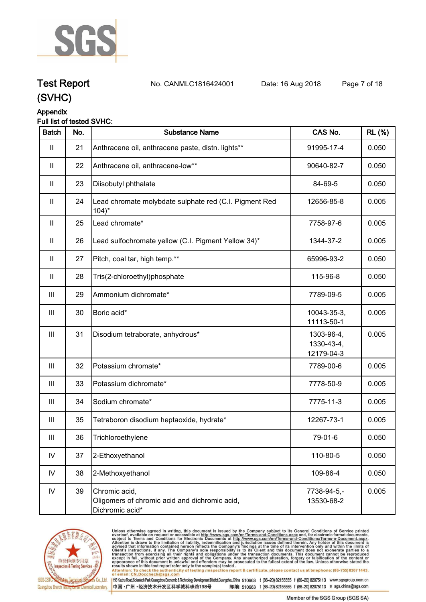

**Test Report. No. CANMLC1816424001 Date: 16 Aug 2018. Page 7 of 18.**

## **(SVHC)**

#### **Appendix**

#### **Full list of tested SVHC:**

| <b>Batch</b>               | No. | <b>Substance Name</b>                                                             | CAS No.                                | <b>RL (%)</b> |
|----------------------------|-----|-----------------------------------------------------------------------------------|----------------------------------------|---------------|
| $\mathbf{I}$               | 21  | Anthracene oil, anthracene paste, distn. lights**                                 | 91995-17-4                             | 0.050         |
| $\mathbf{II}$              | 22  | Anthracene oil, anthracene-low**                                                  | 90640-82-7                             | 0.050         |
| $\mathop{\rm II}\nolimits$ | 23  | Diisobutyl phthalate                                                              | 84-69-5                                | 0.050         |
| $\mathbf{I}$               | 24  | Lead chromate molybdate sulphate red (C.I. Pigment Red<br>$104$ <sup>*</sup>      | 12656-85-8                             | 0.005         |
| $\mathbf{H}$               | 25  | Lead chromate*                                                                    | 7758-97-6                              | 0.005         |
| $\mathop{\rm II}\nolimits$ | 26  | Lead sulfochromate yellow (C.I. Pigment Yellow 34)*                               | 1344-37-2                              | 0.005         |
| $\mathbf{II}$              | 27  | Pitch, coal tar, high temp.**                                                     | 65996-93-2                             | 0.050         |
| $\mathbf{II}$              | 28  | Tris(2-chloroethyl)phosphate                                                      | 115-96-8                               | 0.050         |
| $\mathbf{III}$             | 29  | Ammonium dichromate*                                                              | 7789-09-5                              | 0.005         |
| III                        | 30  | Boric acid*                                                                       | 10043-35-3,<br>11113-50-1              | 0.005         |
| Ш                          | 31  | Disodium tetraborate, anhydrous*                                                  | 1303-96-4,<br>1330-43-4,<br>12179-04-3 | 0.005         |
| $\mathbf{III}$             | 32  | Potassium chromate*                                                               | 7789-00-6                              | 0.005         |
| $\mathbf{III}$             | 33  | Potassium dichromate*                                                             | 7778-50-9                              | 0.005         |
| III                        | 34  | Sodium chromate*                                                                  | 7775-11-3                              | 0.005         |
| Ш                          | 35  | Tetraboron disodium heptaoxide, hydrate*                                          | 12267-73-1                             | 0.005         |
| Ш                          | 36  | Trichloroethylene                                                                 | 79-01-6                                | 0.050         |
| ${\sf IV}$                 | 37  | 2-Ethoxyethanol                                                                   | 110-80-5                               | 0.050         |
| IV                         | 38  | 2-Methoxyethanol                                                                  | 109-86-4                               | 0.050         |
| ${\sf IV}$                 | 39  | Chromic acid,<br>Oligomers of chromic acid and dichromic acid,<br>Dichromic acid* | 7738-94-5,-<br>13530-68-2              | 0.005         |



Unless otherwise agreed in writing, this document is issued by the Company subject to its General Conditions of Service printed<br>overleaf, available on request or accessible at http://www.sgs.com/en/Terms-and-Conditions.asp results shown in this test report refer only to the sample(s) tested .<br>Attention: To check the authenticity of testing /inspection report & certificate, please contact us at telephone: (86-755) 8307 1443,<br>or email: <u>CN.Doc</u>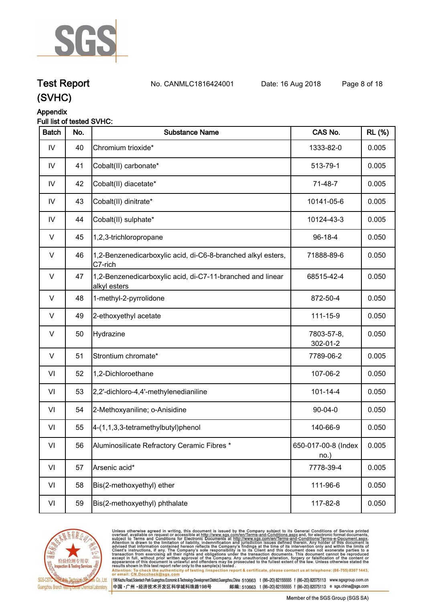

## **Test Report. No. CANMLC1816424001 Date: 16 Aug 2018. Page 8 of 18.**

### **(SVHC)**

### **Appendix**

#### **Full list of tested SVHC:**

| <b>Batch</b> | No. | <b>Substance Name</b>                                                      | CAS No.                     | <b>RL</b> (%) |
|--------------|-----|----------------------------------------------------------------------------|-----------------------------|---------------|
| IV           | 40  | Chromium trioxide*                                                         | 1333-82-0                   | 0.005         |
| IV           | 41  | Cobalt(II) carbonate*                                                      | 513-79-1                    | 0.005         |
| IV           | 42  | Cobalt(II) diacetate*                                                      | 71-48-7                     | 0.005         |
| ${\sf IV}$   | 43  | Cobalt(II) dinitrate*                                                      | 10141-05-6                  | 0.005         |
| IV           | 44  | Cobalt(II) sulphate*                                                       | 10124-43-3                  | 0.005         |
| V            | 45  | 1,2,3-trichloropropane                                                     | $96-18-4$                   | 0.050         |
| $\vee$       | 46  | 1,2-Benzenedicarboxylic acid, di-C6-8-branched alkyl esters,<br>C7-rich    | 71888-89-6                  | 0.050         |
| V            | 47  | 1,2-Benzenedicarboxylic acid, di-C7-11-branched and linear<br>alkyl esters | 68515-42-4                  | 0.050         |
| V            | 48  | 1-methyl-2-pyrrolidone                                                     | 872-50-4                    | 0.050         |
| V            | 49  | 2-ethoxyethyl acetate                                                      | 111-15-9                    | 0.050         |
| V            | 50  | Hydrazine                                                                  | 7803-57-8,<br>302-01-2      | 0.050         |
| V            | 51  | Strontium chromate*                                                        | 7789-06-2                   | 0.005         |
| VI           | 52  | 1,2-Dichloroethane                                                         | 107-06-2                    | 0.050         |
| VI           | 53  | 2,2'-dichloro-4,4'-methylenedianiline                                      | $101 - 14 - 4$              | 0.050         |
| VI           | 54  | 2-Methoxyaniline; o-Anisidine                                              | $90 - 04 - 0$               | 0.050         |
| VI           | 55  | 4-(1,1,3,3-tetramethylbutyl)phenol                                         | 140-66-9                    | 0.050         |
| VI           | 56  | Aluminosilicate Refractory Ceramic Fibres *                                | 650-017-00-8 (Index<br>no.) | 0.005         |
| VI           | 57  | Arsenic acid*                                                              | 7778-39-4                   | 0.005         |
| VI           | 58  | Bis(2-methoxyethyl) ether                                                  | 111-96-6                    | 0.050         |
| VI           | 59  | Bis(2-methoxyethyl) phthalate                                              | 117-82-8                    | 0.050         |



Unless otherwise agreed in writing, this document is issued by the Company subject to its General Conditions of Service printed<br>overleaf, available on request or accessible at http://www.sgs.com/en/Terms-and-Conditions.asp

results shown in this test report refer only to the sample(s) tested .<br>Attention: To check the authenticity of testing /inspection report & certificate, please contact us at telephone: (86-755) 8307 1443,<br>or email: <u>CN.Doc</u>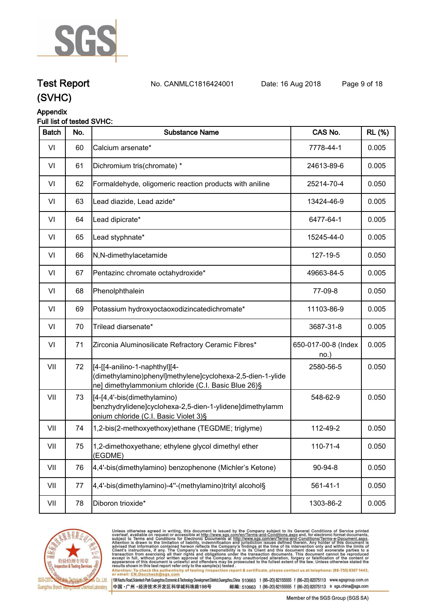

**Test Report. No. CANMLC1816424001 Date: 16 Aug 2018. Page 9 of 18.**

### **(SVHC)**

#### **Appendix**

#### **Full list of tested SVHC:**

| <b>Batch</b> | No. | <b>Substance Name</b>                                                                                                                               | CAS No.                    | <b>RL (%)</b> |
|--------------|-----|-----------------------------------------------------------------------------------------------------------------------------------------------------|----------------------------|---------------|
| VI           | 60  | Calcium arsenate*                                                                                                                                   | 7778-44-1                  | 0.005         |
| VI           | 61  | Dichromium tris(chromate) *                                                                                                                         | 24613-89-6                 | 0.005         |
| VI           | 62  | Formaldehyde, oligomeric reaction products with aniline                                                                                             | 25214-70-4                 | 0.050         |
| VI           | 63  | Lead diazide, Lead azide*                                                                                                                           | 13424-46-9                 | 0.005         |
| VI           | 64  | Lead dipicrate*                                                                                                                                     | 6477-64-1                  | 0.005         |
| VI           | 65  | Lead styphnate*                                                                                                                                     | 15245-44-0                 | 0.005         |
| VI           | 66  | N,N-dimethylacetamide                                                                                                                               | 127-19-5                   | 0.050         |
| VI           | 67  | Pentazinc chromate octahydroxide*                                                                                                                   | 49663-84-5                 | 0.005         |
| VI           | 68  | Phenolphthalein                                                                                                                                     | 77-09-8                    | 0.050         |
| VI           | 69  | Potassium hydroxyoctaoxodizincatedichromate*                                                                                                        | 11103-86-9                 | 0.005         |
| VI           | 70  | Trilead diarsenate*                                                                                                                                 | 3687-31-8                  | 0.005         |
| VI           | 71  | Zirconia Aluminosilicate Refractory Ceramic Fibres*                                                                                                 | 650-017-00-8 (Index<br>no. | 0.005         |
| VII          | 72  | [[4-[[4-anilino-1-naphthyl][4-<br>(dimethylamino)phenyl]methylene]cyclohexa-2,5-dien-1-ylide<br>ne] dimethylammonium chloride (C.I. Basic Blue 26)§ | 2580-56-5                  | 0.050         |
| VII          | 73  | [[4-[4,4'-bis(dimethylamino)<br>benzhydrylidene]cyclohexa-2,5-dien-1-ylidene]dimethylamm<br>onium chloride (C.I. Basic Violet 3)§                   | 548-62-9                   | 0.050         |
| VII          | 74  | 1,2-bis(2-methoxyethoxy)ethane (TEGDME; triglyme)                                                                                                   | 112-49-2                   | 0.050         |
| VII          | 75  | 1,2-dimethoxyethane; ethylene glycol dimethyl ether<br>(EGDME)                                                                                      | 110-71-4                   | 0.050         |
| VII          | 76  | 4,4'-bis(dimethylamino) benzophenone (Michler's Ketone)                                                                                             | 90-94-8                    | 0.050         |
| VII          | 77  | 4,4'-bis(dimethylamino)-4"-(methylamino)trityl alcohol§                                                                                             | $561 - 41 - 1$             | 0.050         |
| VII          | 78  | Diboron trioxide*                                                                                                                                   | 1303-86-2                  | 0.005         |
|              |     |                                                                                                                                                     |                            |               |



Unless otherwise agreed in writing, this document is issued by the Company subject to its General Conditions of Service printed<br>overleaf, available on request or accessible at http://www.sgs.com/en/Terms-and-Conditions.as

198 Kezhu Road,Scientech Park Guangzhou Economic & Technology Development District,Guangzhou,China 510663 t (86-20) 82155555 f (86-20) 82075113 www.sgsgroup.com.cn 中国·广州·经济技术开发区科学城科珠路198号

邮编: 510663 t (86-20) 82155555 f (86-20) 82075113 e sgs.china@sgs.com Member of the SGS Group (SGS SA)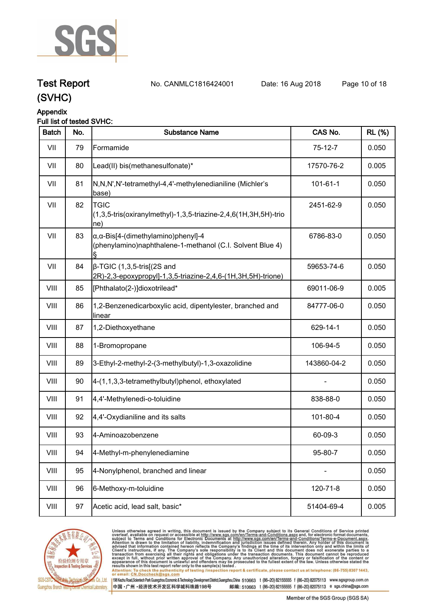

**Test Report. No. CANMLC1816424001 Date: 16 Aug 2018. Page 10 of 18.**

### **(SVHC)**

#### **Appendix**

#### **Full list of tested SVHC:**

| <b>Batch</b> | No. | <b>Substance Name</b>                                                                                            | CAS No.        | <b>RL (%)</b> |
|--------------|-----|------------------------------------------------------------------------------------------------------------------|----------------|---------------|
| VII          | 79  | Formamide                                                                                                        | $75-12-7$      | 0.050         |
| VII          | 80  | Lead(II) bis(methanesulfonate)*                                                                                  | 17570-76-2     | 0.005         |
| VII          | 81  | N,N,N',N'-tetramethyl-4,4'-methylenedianiline (Michler's<br>base)                                                | $101 - 61 - 1$ | 0.050         |
| VII          | 82  | <b>TGIC</b><br>(1,3,5-tris(oxiranylmethyl)-1,3,5-triazine-2,4,6(1H,3H,5H)-trio<br>$ ne\rangle$                   | 2451-62-9      | 0.050         |
| VII          | 83  | $\alpha$ , $\alpha$ -Bis[4-(dimethylamino)phenyl]-4<br>(phenylamino)naphthalene-1-methanol (C.I. Solvent Blue 4) | 6786-83-0      | 0.050         |
| VII          | 84  | $\beta$ -TGIC (1,3,5-tris[(2S and<br>2R)-2,3-epoxypropyl]-1,3,5-triazine-2,4,6-(1H,3H,5H)-trione)                | 59653-74-6     | 0.050         |
| VIII         | 85  | [Phthalato(2-)]dioxotrilead*                                                                                     | 69011-06-9     | 0.005         |
| VIII         | 86  | 1,2-Benzenedicarboxylic acid, dipentylester, branched and<br>linear                                              | 84777-06-0     | 0.050         |
| VIII         | 87  | 1,2-Diethoxyethane                                                                                               | 629-14-1       | 0.050         |
| VIII         | 88  | 1-Bromopropane                                                                                                   | 106-94-5       | 0.050         |
| VIII         | 89  | 3-Ethyl-2-methyl-2-(3-methylbutyl)-1,3-oxazolidine                                                               | 143860-04-2    | 0.050         |
| VIII         | 90  | 4-(1,1,3,3-tetramethylbutyl)phenol, ethoxylated                                                                  |                | 0.050         |
| VIII         | 91  | 4,4'-Methylenedi-o-toluidine                                                                                     | 838-88-0       | 0.050         |
| VIII         | 92  | 4,4'-Oxydianiline and its salts                                                                                  | 101-80-4       | 0.050         |
| VIII         | 93  | 4-Aminoazobenzene                                                                                                | 60-09-3        | 0.050         |
| VIII         | 94  | 4-Methyl-m-phenylenediamine                                                                                      | 95-80-7        | 0.050         |
| VIII         | 95  | 4-Nonylphenol, branched and linear                                                                               |                | 0.050         |
| VIII         | 96  | 6-Methoxy-m-toluidine                                                                                            | 120-71-8       | 0.050         |
| VIII         | 97  | Acetic acid, lead salt, basic*                                                                                   | 51404-69-4     | 0.005         |



Unless otherwise agreed in writing, this document is issued by the Company subject to its General Conditions of Service printed<br>overleaf, available on request or accessible at http://www.sgs.com/en/Terms-and-Conditions.asp Attention: To check the authenticity of testing /inspection report & certificate, please contact us at telephone: (86-755) 8307 1443,<br>Attention: To check the authenticity of testing /inspection report & certificate, please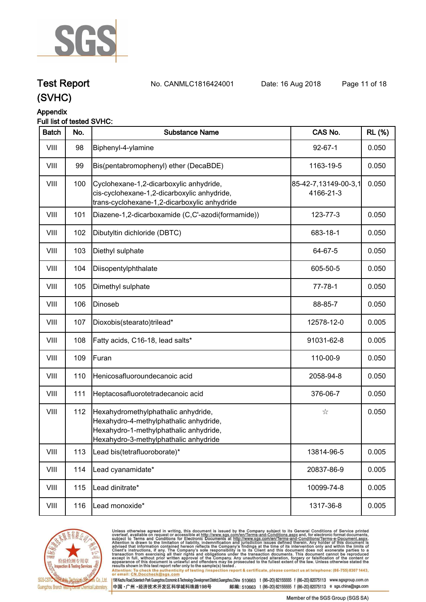

**Test Report. No. CANMLC1816424001 Date: 16 Aug 2018. Page 11 of 18.**

## **(SVHC)**

#### **Appendix**

#### **Full list of tested SVHC:**

| <b>Batch</b> | No. | <b>Substance Name</b>                                                                                                                                            | CAS No.                           | <b>RL</b> (%) |
|--------------|-----|------------------------------------------------------------------------------------------------------------------------------------------------------------------|-----------------------------------|---------------|
| VIII         | 98  | Biphenyl-4-ylamine                                                                                                                                               | $92 - 67 - 1$                     | 0.050         |
| VIII         | 99  | Bis(pentabromophenyl) ether (DecaBDE)                                                                                                                            | 1163-19-5                         | 0.050         |
| VIII         | 100 | Cyclohexane-1,2-dicarboxylic anhydride,<br>cis-cyclohexane-1,2-dicarboxylic anhydride,<br>trans-cyclohexane-1,2-dicarboxylic anhydride                           | 85-42-7,13149-00-3,1<br>4166-21-3 | 0.050         |
| VIII         | 101 | Diazene-1,2-dicarboxamide (C,C'-azodi(formamide))                                                                                                                | 123-77-3                          | 0.050         |
| VIII         | 102 | Dibutyltin dichloride (DBTC)                                                                                                                                     | 683-18-1                          | 0.050         |
| VIII         | 103 | Diethyl sulphate                                                                                                                                                 | 64-67-5                           | 0.050         |
| VIII         | 104 | Diisopentylphthalate                                                                                                                                             | 605-50-5                          | 0.050         |
| VIII         | 105 | Dimethyl sulphate                                                                                                                                                | $77 - 78 - 1$                     | 0.050         |
| VIII         | 106 | Dinoseb                                                                                                                                                          | 88-85-7                           | 0.050         |
| VIII         | 107 | Dioxobis(stearato)trilead*                                                                                                                                       | 12578-12-0                        | 0.005         |
| VIII         | 108 | Fatty acids, C16-18, lead salts*                                                                                                                                 | 91031-62-8                        | 0.005         |
| VIII         | 109 | Furan                                                                                                                                                            | 110-00-9                          | 0.050         |
| VIII         | 110 | Henicosafluoroundecanoic acid                                                                                                                                    | 2058-94-8                         | 0.050         |
| VIII         | 111 | Heptacosafluorotetradecanoic acid                                                                                                                                | 376-06-7                          | 0.050         |
| VIII         | 112 | Hexahydromethylphathalic anhydride,<br>Hexahydro-4-methylphathalic anhydride,<br>Hexahydro-1-methylphathalic anhydride,<br>Hexahydro-3-methylphathalic anhydride | ☆                                 | 0.050         |
| VIII         | 113 | Lead bis(tetrafluoroborate)*                                                                                                                                     | 13814-96-5                        | 0.005         |
| VIII         | 114 | Lead cyanamidate*                                                                                                                                                | 20837-86-9                        | 0.005         |
| VIII         | 115 | Lead dinitrate*                                                                                                                                                  | 10099-74-8                        | 0.005         |
| VIII         | 116 | Lead monoxide*                                                                                                                                                   | 1317-36-8                         | 0.005         |



Unless otherwise agreed in writing, this document is issued by the Company subject to its General Conditions of Service printed<br>overleaf, available on request or accessible at http://www.sgs.com/en/Terms-and-Conditions.asp results shown in this test report refer only to the sample(s) tested .<br>Attention: To check the authenticity of testing /inspection report & certificate, please contact us at telephone: (86-755) 8307 1443,<br>or email: <u>CN.Doc</u>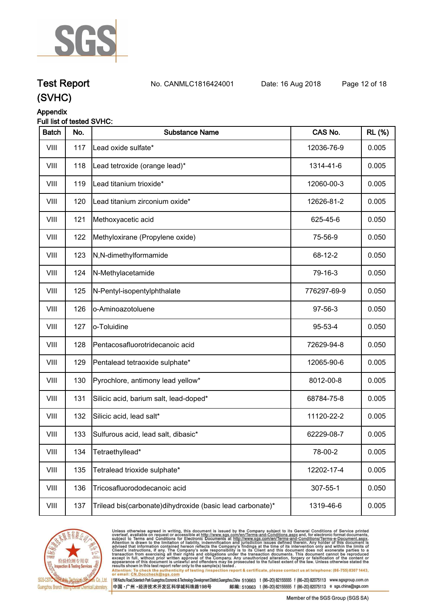

**Test Report. No. CANMLC1816424001 Date: 16 Aug 2018. Page 12 of 18.**

### **(SVHC)**

### **Appendix**

#### **Full list of tested SVHC:**

| <b>Batch</b> | No. | <b>Substance Name</b>                                     | CAS No.     | <b>RL (%)</b> |
|--------------|-----|-----------------------------------------------------------|-------------|---------------|
| VIII         | 117 | Lead oxide sulfate*                                       | 12036-76-9  | 0.005         |
| VIII         | 118 | Lead tetroxide (orange lead)*                             | 1314-41-6   | 0.005         |
| VIII         | 119 | Lead titanium trioxide*                                   | 12060-00-3  | 0.005         |
| VIII         | 120 | Lead titanium zirconium oxide*                            | 12626-81-2  | 0.005         |
| VIII         | 121 | Methoxyacetic acid                                        | 625-45-6    | 0.050         |
| VIII         | 122 | Methyloxirane (Propylene oxide)                           | 75-56-9     | 0.050         |
| VIII         | 123 | N,N-dimethylformamide                                     | 68-12-2     | 0.050         |
| VIII         | 124 | N-Methylacetamide                                         | 79-16-3     | 0.050         |
| VIII         | 125 | N-Pentyl-isopentylphthalate                               | 776297-69-9 | 0.050         |
| VIII         | 126 | o-Aminoazotoluene                                         | 97-56-3     | 0.050         |
| VIII         | 127 | o-Toluidine                                               | 95-53-4     | 0.050         |
| VIII         | 128 | Pentacosafluorotridecanoic acid                           | 72629-94-8  | 0.050         |
| VIII         | 129 | Pentalead tetraoxide sulphate*                            | 12065-90-6  | 0.005         |
| VIII         | 130 | Pyrochlore, antimony lead yellow*                         | 8012-00-8   | 0.005         |
| VIII         | 131 | Silicic acid, barium salt, lead-doped*                    | 68784-75-8  | 0.005         |
| VIII         | 132 | Silicic acid, lead salt*                                  | 11120-22-2  | 0.005         |
| VIII         | 133 | Sulfurous acid, lead salt, dibasic*                       | 62229-08-7  | 0.005         |
| VIII         | 134 | Tetraethyllead*                                           | 78-00-2     | 0.005         |
| VIII         | 135 | Tetralead trioxide sulphate*                              | 12202-17-4  | 0.005         |
| VIII         | 136 | Tricosafluorododecanoic acid                              | 307-55-1    | 0.050         |
| VIII         | 137 | Trilead bis(carbonate)dihydroxide (basic lead carbonate)* | 1319-46-6   | 0.005         |



Unless otherwise agreed in writing, this document is issued by the Company subject to its General Conditions of Service printed<br>overleaf, available on request or accessible at http://www.sgs.com/en/Terms-and-Conditions.asp Attention: To check the authenticity of testing /inspection report & certificate, please contact us at telephone: (86-755) 8307 1443,<br>Attention: To check the authenticity of testing /inspection report & certificate, please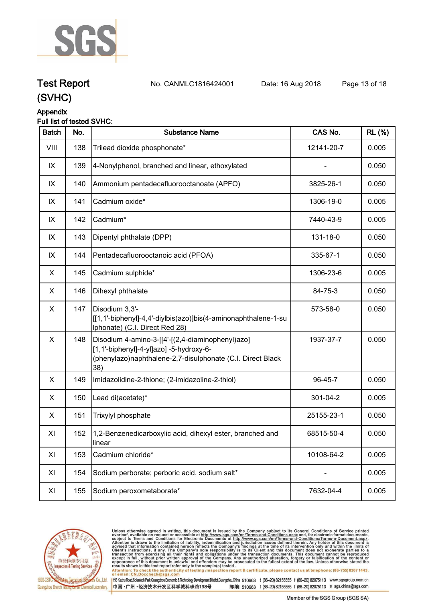

**Test Report. No. CANMLC1816424001 Date: 16 Aug 2018. Page 13 of 18.**

## **(SVHC)**

### **Appendix**

#### **Full list of tested SVHC:**

| <b>Batch</b>   | No. | <b>Substance Name</b>                                                                                                                                            | CAS No.    | <b>RL</b> (%) |
|----------------|-----|------------------------------------------------------------------------------------------------------------------------------------------------------------------|------------|---------------|
| VIII           | 138 | Trilead dioxide phosphonate*                                                                                                                                     | 12141-20-7 | 0.005         |
| IX             | 139 | 4-Nonylphenol, branched and linear, ethoxylated                                                                                                                  |            | 0.050         |
| IX             | 140 | Ammonium pentadecafluorooctanoate (APFO)                                                                                                                         | 3825-26-1  | 0.050         |
| IX             | 141 | Cadmium oxide*                                                                                                                                                   | 1306-19-0  | 0.005         |
| IX             | 142 | Cadmium*                                                                                                                                                         | 7440-43-9  | 0.005         |
| IX             | 143 | Dipentyl phthalate (DPP)                                                                                                                                         | 131-18-0   | 0.050         |
| IX             | 144 | Pentadecafluorooctanoic acid (PFOA)                                                                                                                              | 335-67-1   | 0.050         |
| X.             | 145 | Cadmium sulphide*                                                                                                                                                | 1306-23-6  | 0.005         |
| X              | 146 | Dihexyl phthalate                                                                                                                                                | 84-75-3    | 0.050         |
| $\mathsf X$    | 147 | Disodium 3,3'-<br>[[1,1'-biphenyl]-4,4'-diylbis(azo)]bis(4-aminonaphthalene-1-su<br>Iphonate) (C.I. Direct Red 28)                                               | 573-58-0   | 0.050         |
| $\pmb{\times}$ | 148 | Disodium 4-amino-3-[[4'-[(2,4-diaminophenyl)azo]<br>[1,1'-biphenyl]-4-yl]azo] -5-hydroxy-6-<br>(phenylazo)naphthalene-2,7-disulphonate (C.I. Direct Black<br>38) | 1937-37-7  | 0.050         |
| X              | 149 | Imidazolidine-2-thione; (2-imidazoline-2-thiol)                                                                                                                  | 96-45-7    | 0.050         |
| X              | 150 | Lead di(acetate)*                                                                                                                                                | 301-04-2   | 0.005         |
| X.             | 151 | Trixylyl phosphate                                                                                                                                               | 25155-23-1 | 0.050         |
| XI             | 152 | 1,2-Benzenedicarboxylic acid, dihexyl ester, branched and<br>linear                                                                                              | 68515-50-4 | 0.050         |
| XI             | 153 | Cadmium chloride*                                                                                                                                                | 10108-64-2 | 0.005         |
| XI             | 154 | Sodium perborate; perboric acid, sodium salt*                                                                                                                    |            | 0.005         |
| XI             | 155 | Sodium peroxometaborate*                                                                                                                                         | 7632-04-4  | 0.005         |



Unless otherwise agreed in writing, this document is issued by the Company subject to its General Conditions of Service printed<br>overleaf, available on request or accessible at http://www.sgs.com/en/Terms-and-Conditions.asp results shown in this test report refer only to the sample(s) tested .<br>Attention: To check the authenticity of testing /inspection report & certificate, please contact us at telephone: (86-755) 8307 1443,<br>or email: <u>CN.Doc</u>

198 Kezhu Road,Scientech Park Guangzhou Economic & Technology Development District,Guangzhou,China 510663 t (86-20) 82155555 f (86-20) 82075113 www.sgsgroup.com.cn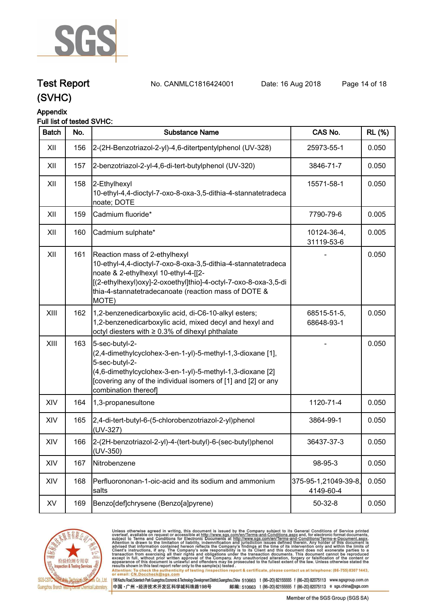

**Test Report. No. CANMLC1816424001 Date: 16 Aug 2018. Page 14 of 18.**

### **(SVHC)**

#### **Appendix**

#### **Full list of tested SVHC:**

| <b>Batch</b> | No. | <b>Substance Name</b>                                                                                                                                                                                                                                                      | CAS No.                           | <b>RL (%)</b> |
|--------------|-----|----------------------------------------------------------------------------------------------------------------------------------------------------------------------------------------------------------------------------------------------------------------------------|-----------------------------------|---------------|
| XII          | 156 | 2-(2H-Benzotriazol-2-yl)-4,6-ditertpentylphenol (UV-328)                                                                                                                                                                                                                   | 25973-55-1                        | 0.050         |
| XII          | 157 | 2-benzotriazol-2-yl-4,6-di-tert-butylphenol (UV-320)                                                                                                                                                                                                                       | 3846-71-7                         | 0.050         |
| XII          | 158 | 2-Ethylhexyl<br>10-ethyl-4,4-dioctyl-7-oxo-8-oxa-3,5-dithia-4-stannatetradeca<br>noate; DOTE                                                                                                                                                                               | 15571-58-1                        | 0.050         |
| XII          | 159 | Cadmium fluoride*                                                                                                                                                                                                                                                          | 7790-79-6                         | 0.005         |
| XII          | 160 | Cadmium sulphate*                                                                                                                                                                                                                                                          | 10124-36-4,<br>31119-53-6         | 0.005         |
| XII          | 161 | Reaction mass of 2-ethylhexyl<br>10-ethyl-4,4-dioctyl-7-oxo-8-oxa-3,5-dithia-4-stannatetradeca<br>noate & 2-ethylhexyl 10-ethyl-4-[[2-<br>[(2-ethylhexyl)oxy]-2-oxoethyl]thio]-4-octyl-7-oxo-8-oxa-3,5-di<br>thia-4-stannatetradecanoate (reaction mass of DOTE &<br>MOTE) |                                   | 0.050         |
| XIII         | 162 | 1,2-benzenedicarboxylic acid, di-C6-10-alkyl esters;<br>1,2-benzenedicarboxylic acid, mixed decyl and hexyl and<br>octyl diesters with ≥ 0.3% of dihexyl phthalate                                                                                                         | 68515-51-5,<br>68648-93-1         | 0.050         |
| XIII         | 163 | 5-sec-butyl-2-<br>(2,4-dimethylcyclohex-3-en-1-yl)-5-methyl-1,3-dioxane [1],<br>5-sec-butyl-2-<br>(4,6-dimethylcyclohex-3-en-1-yl)-5-methyl-1,3-dioxane [2]<br>[covering any of the individual isomers of [1] and [2] or any<br>combination thereof]                       |                                   | 0.050         |
| XIV          | 164 | 1,3-propanesultone                                                                                                                                                                                                                                                         | 1120-71-4                         | 0.050         |
| XIV          | 165 | 2,4-di-tert-butyl-6-(5-chlorobenzotriazol-2-yl)phenol<br>(UV-327)                                                                                                                                                                                                          | 3864-99-1                         | 0.050         |
| XIV          | 166 | 2-(2H-benzotriazol-2-yl)-4-(tert-butyl)-6-(sec-butyl)phenol<br>$(UV-350)$                                                                                                                                                                                                  | 36437-37-3                        | 0.050         |
| XIV          | 167 | Nitrobenzene                                                                                                                                                                                                                                                               | 98-95-3                           | 0.050         |
| XIV          | 168 | Perfluorononan-1-oic-acid and its sodium and ammonium<br>salts                                                                                                                                                                                                             | 375-95-1,21049-39-8,<br>4149-60-4 | 0.050         |
| XV           | 169 | Benzo[def]chrysene (Benzo[a]pyrene)                                                                                                                                                                                                                                        | $50 - 32 - 8$                     | 0.050         |



Unless otherwise agreed in writing, this document is issued by the Company subject to its General Conditions of Service printed<br>overleaf, available on request or accessible at http://www.sgs.com/en/Terms-and-Conditions.asp Attention: To check the authenticity of testing /inspection report & certificate, please contact us at telephone: (86-755) 8307 1443,<br>Attention: To check the authenticity of testing /inspection report & certificate, please

198 Kezhu Road,Scientech Park Guangzhou Economic & Technology Development District,Guangzhou,China 510663 t (86-20) 82155555 f (86-20) 82075113 www.sgsgroup.com.cn 中国·广州·经济技术开发区科学城科珠路198号 邮编: 510663 t (86-20) 82155555 f (86-20) 82075113 e sgs.china@sgs.com

Member of the SGS Group (SGS SA)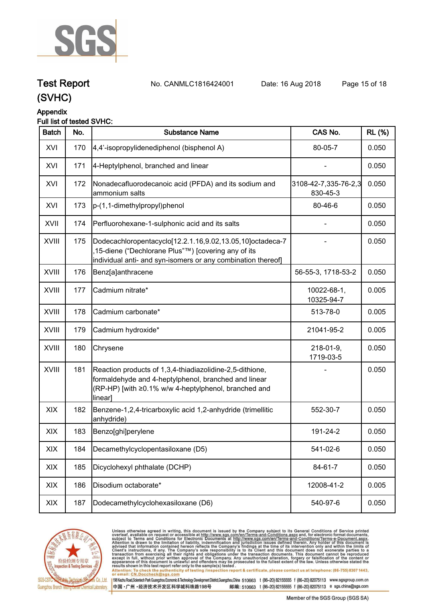

**Test Report. No. CANMLC1816424001 Date: 16 Aug 2018. Page 15 of 18.**

### **(SVHC)**

#### **Appendix**

#### **Full list of tested SVHC:**

| <b>Batch</b> | No. | <b>Substance Name</b>                                                                                                                                                               | CAS No.                          | <b>RL (%)</b> |
|--------------|-----|-------------------------------------------------------------------------------------------------------------------------------------------------------------------------------------|----------------------------------|---------------|
| XVI          | 170 | 4,4'-isopropylidenediphenol (bisphenol A)                                                                                                                                           | 80-05-7                          | 0.050         |
| XVI          | 171 | 4-Heptylphenol, branched and linear                                                                                                                                                 |                                  | 0.050         |
| XVI          | 172 | Nonadecafluorodecanoic acid (PFDA) and its sodium and<br>ammonium salts                                                                                                             | 3108-42-7,335-76-2,3<br>830-45-3 | 0.050         |
| XVI          | 173 | p-(1,1-dimethylpropyl)phenol                                                                                                                                                        | 80-46-6                          | 0.050         |
| XVII         | 174 | Perfluorohexane-1-sulphonic acid and its salts                                                                                                                                      |                                  | 0.050         |
| <b>XVIII</b> | 175 | Dodecachloropentacyclo[12.2.1.16,9.02,13.05,10]octadeca-7<br>15-diene ("Dechlorane Plus"™) [covering any of its<br>individual anti- and syn-isomers or any combination thereof]     |                                  | 0.050         |
| XVIII        | 176 | Benz[a]anthracene                                                                                                                                                                   | 56-55-3, 1718-53-2               | 0.050         |
| <b>XVIII</b> | 177 | Cadmium nitrate*                                                                                                                                                                    | 10022-68-1,<br>10325-94-7        | 0.005         |
| <b>XVIII</b> | 178 | Cadmium carbonate*                                                                                                                                                                  | 513-78-0                         | 0.005         |
| XVIII        | 179 | Cadmium hydroxide*                                                                                                                                                                  | 21041-95-2                       | 0.005         |
| <b>XVIII</b> | 180 | Chrysene                                                                                                                                                                            | 218-01-9,<br>1719-03-5           | 0.050         |
| XVIII        | 181 | Reaction products of 1,3,4-thiadiazolidine-2,5-dithione,<br>formaldehyde and 4-heptylphenol, branched and linear<br>(RP-HP) [with ≥0.1% w/w 4-heptylphenol, branched and<br>linear] |                                  | 0.050         |
| XIX          | 182 | Benzene-1,2,4-tricarboxylic acid 1,2-anhydride (trimellitic<br>anhydride)                                                                                                           | 552-30-7                         | 0.050         |
| XIX          | 183 | Benzo[ghi]perylene                                                                                                                                                                  | 191-24-2                         | 0.050         |
| XIX          | 184 | Decamethylcyclopentasiloxane (D5)                                                                                                                                                   | 541-02-6                         | 0.050         |
| XIX          | 185 | Dicyclohexyl phthalate (DCHP)                                                                                                                                                       | 84-61-7                          | 0.050         |
| XIX          | 186 | Disodium octaborate*                                                                                                                                                                | 12008-41-2                       | 0.005         |
| XIX          | 187 | Dodecamethylcyclohexasiloxane (D6)                                                                                                                                                  | 540-97-6                         | 0.050         |



Unless otherwise agreed in writing, this document is issued by the Company subject to its General Conditions of Service printed<br>overleaf, available on request or accessible at http://www.sgs.com/en/Terms-and-Conditions.asp results shown in this test report refer only to the sample(s) tested .<br>Attention: To check the authenticity of testing /inspection report & certificate, please contact us at telephone: (86-755) 8307 1443,<br>or email: <u>CN.Doc</u>

198 Kezhu Road,Scientech Park Guangzhou Economic & Technology Development District,Guangzhou,China 510663 t (86-20) 82155555 f (86-20) 82075113 www.sgsgroup.com.cn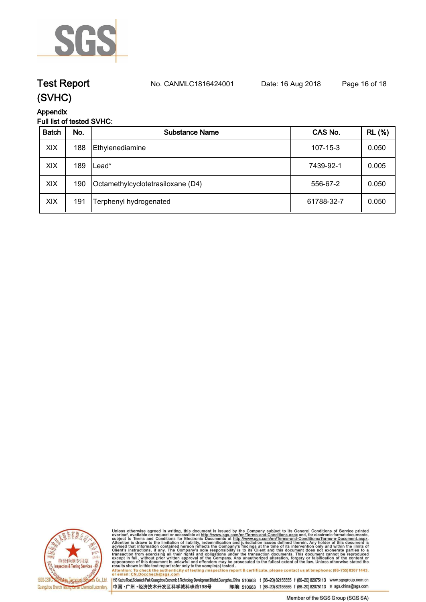

**Test Report. No. CANMLC1816424001 Date: 16 Aug 2018. Page 16 of 18.**

### **(SVHC)**

### **Appendix**

### **Full list of tested SVHC:**

| <b>Batch</b> | No. | <b>Substance Name</b>             | CAS No.        | <b>RL</b> (%) |
|--------------|-----|-----------------------------------|----------------|---------------|
| XIX          | 188 | Ethylenediamine                   | $107 - 15 - 3$ | 0.050         |
| XIX          | 189 | ∟ead*                             | 7439-92-1      | 0.005         |
| XIX          | 190 | Octamethylcyclotetrasiloxane (D4) | 556-67-2       | 0.050         |
| XIX          | 191 | Terphenyl hydrogenated            | 61788-32-7     | 0.050         |



Unless otherwise agreed in writing, this document is issued by the Company subject to its General Conditions of Service printed<br>overleaf, available on request or accessible at http://www.sgs.com/en/Terms-and-Conditions.as

198 Kezhu Road,Scientech Park Guangzhou Economic & Technology Development District,Guangzhou,China 510663 t (86-20) 82155555 f (86-20) 82075113 www.sgsgroup.com.cn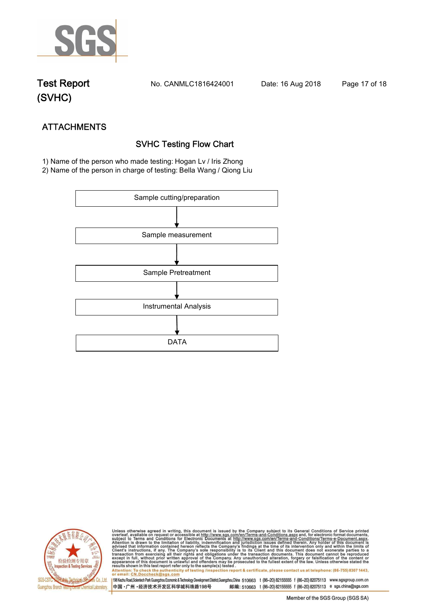

**Test Report. No. CANMLC1816424001 Date: 16 Aug 2018. Page 17 of 18.**

# **(SVHC)**

# **ATTACHMENTS SVHC Testing Flow Chart**

 **1) Name of the person who made testing: Hogan Lv / Iris Zhong**

**2) Name of the person in charge of testing: Bella Wang / Qiong Liu**





Unless otherwise agreed in writing, this document is issued by the Company subject to its General Conditions of Service printed<br>overleaf, available on request or accessible at http://www.sgs.com/en/Terms-and-Conditions.asp Attention: To check the authenticity of testing /inspection report & certificate, please contact us at telephone: (86-755) 8307 1443,<br>Attention: To check the authenticity of testing /inspection report & certificate, please